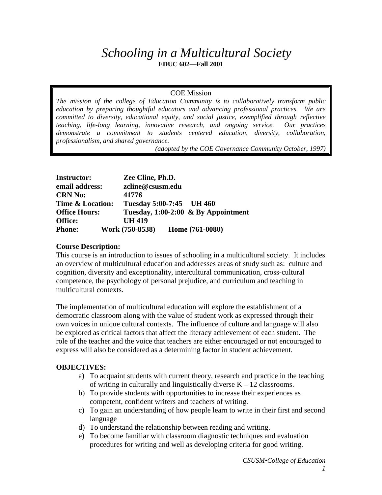# *Schooling in a Multicultural Society* **EDUC 602—Fall 2001**

### COE Mission

*The mission of the college of Education Community is to collaboratively transform public education by preparing thoughtful educators and advancing professional practices. We are committed to diversity, educational equity, and social justice, exemplified through reflective teaching, life-long learning, innovative research, and ongoing service. Our practices demonstrate a commitment to students centered education, diversity, collaboration, professionalism, and shared governance.*

*(adopted by the COE Governance Community October, 1997)*

| <b>Instructor:</b>   | Zee Cline, Ph.D.                    |
|----------------------|-------------------------------------|
| email address:       | zcline@csusm.edu                    |
| <b>CRN No:</b>       | 41776                               |
| Time & Location:     | Tuesday 5:00-7:45 UH 460            |
| <b>Office Hours:</b> | Tuesday, 1:00-2:00 & By Appointment |
| <b>Office:</b>       | UH 419                              |
| <b>Phone:</b>        | Home (761-0080)<br>Work (750-8538)  |

#### **Course Description:**

This course is an introduction to issues of schooling in a multicultural society. It includes an overview of multicultural education and addresses areas of study such as: culture and cognition, diversity and exceptionality, intercultural communication, cross-cultural competence, the psychology of personal prejudice, and curriculum and teaching in multicultural contexts.

The implementation of multicultural education will explore the establishment of a democratic classroom along with the value of student work as expressed through their own voices in unique cultural contexts. The influence of culture and language will also be explored as critical factors that affect the literacy achievement of each student. The role of the teacher and the voice that teachers are either encouraged or not encouraged to express will also be considered as a determining factor in student achievement.

#### **OBJECTIVES:**

- a) To acquaint students with current theory, research and practice in the teaching of writing in culturally and linguistically diverse  $K - 12$  classrooms.
- b) To provide students with opportunities to increase their experiences as competent, confident writers and teachers of writing.
- c) To gain an understanding of how people learn to write in their first and second language
- d) To understand the relationship between reading and writing.
- e) To become familiar with classroom diagnostic techniques and evaluation procedures for writing and well as developing criteria for good writing.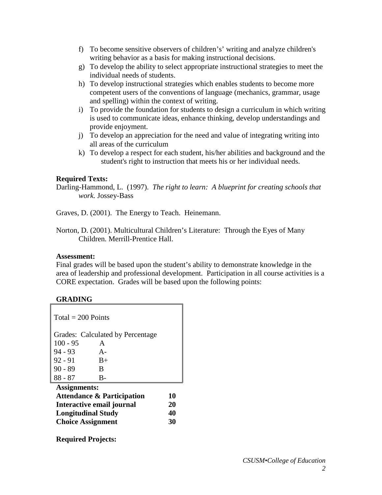- f) To become sensitive observers of children's' writing and analyze children's writing behavior as a basis for making instructional decisions.
- g) To develop the ability to select appropriate instructional strategies to meet the individual needs of students.
- h) To develop instructional strategies which enables students to become more competent users of the conventions of language (mechanics, grammar, usage and spelling) within the context of writing.
- i) To provide the foundation for students to design a curriculum in which writing is used to communicate ideas, enhance thinking, develop understandings and provide enjoyment.
- j) To develop an appreciation for the need and value of integrating writing into all areas of the curriculum
- k) To develop a respect for each student, his/her abilities and background and the student's right to instruction that meets his or her individual needs.

### **Required Texts:**

Darling-Hammond, L. (1997). *The right to learn: A blueprint for creating schools that work.* Jossey-Bass

Graves, D. (2001). The Energy to Teach. Heinemann.

Norton, D. (2001). Multicultural Children's Literature: Through the Eyes of Many Children. Merrill-Prentice Hall.

#### **Assessment:**

Final grades will be based upon the student's ability to demonstrate knowledge in the area of leadership and professional development. Participation in all course activities is a CORE expectation. Grades will be based upon the following points:

# **GRADING**

| $Total = 200$ Points                  |       |  |    |  |
|---------------------------------------|-------|--|----|--|
| Grades: Calculated by Percentage      |       |  |    |  |
| $100 - 95$                            | A     |  |    |  |
| $94 - 93$                             | $A -$ |  |    |  |
| $92 - 91$                             | $B+$  |  |    |  |
| $90 - 89$                             | B     |  |    |  |
| $88 - 87$                             | $B -$ |  |    |  |
| <b>Assignments:</b>                   |       |  |    |  |
| <b>Attendance &amp; Participation</b> |       |  | 10 |  |
| Interactive email journal             |       |  | 20 |  |
| <b>Longitudinal Study</b>             |       |  | 40 |  |
| <b>Choice Assignment</b>              |       |  | 30 |  |

**Required Projects:**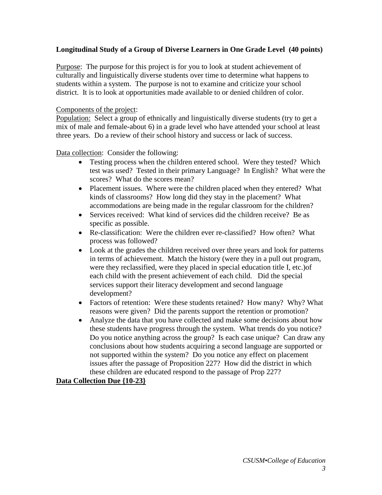#### **Longitudinal Study of a Group of Diverse Learners in One Grade Level (40 points)**

Purpose: The purpose for this project is for you to look at student achievement of culturally and linguistically diverse students over time to determine what happens to students within a system. The purpose is not to examine and criticize your school district. It is to look at opportunities made available to or denied children of color.

#### Components of the project:

Population: Select a group of ethnically and linguistically diverse students (try to get a mix of male and female-about 6) in a grade level who have attended your school at least three years. Do a review of their school history and success or lack of success.

Data collection: Consider the following:

- Testing process when the children entered school. Were they tested? Which test was used? Tested in their primary Language? In English? What were the scores? What do the scores mean?
- Placement issues. Where were the children placed when they entered? What kinds of classrooms? How long did they stay in the placement? What accommodations are being made in the regular classroom for the children?
- Services received: What kind of services did the children receive? Be as specific as possible.
- Re-classification: Were the children ever re-classified? How often? What process was followed?
- Look at the grades the children received over three years and look for patterns in terms of achievement. Match the history (were they in a pull out program, were they reclassified, were they placed in special education title I, etc.)of each child with the present achievement of each child. Did the special services support their literacy development and second language development?
- Factors of retention: Were these students retained? How many? Why? What reasons were given? Did the parents support the retention or promotion?
- Analyze the data that you have collected and make some decisions about how these students have progress through the system. What trends do you notice? Do you notice anything across the group? Is each case unique? Can draw any conclusions about how students acquiring a second language are supported or not supported within the system? Do you notice any effect on placement issues after the passage of Proposition 227? How did the district in which these children are educated respond to the passage of Prop 227?

#### **Data Collection Due {10-23}**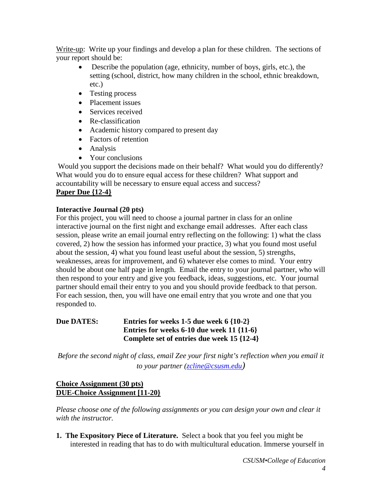Write-up: Write up your findings and develop a plan for these children. The sections of your report should be:

- Describe the population (age, ethnicity, number of boys, girls, etc.), the setting (school, district, how many children in the school, ethnic breakdown, etc.)
- Testing process
- Placement issues
- Services received
- Re-classification
- Academic history compared to present day
- Factors of retention
- Analysis
- Your conclusions

Would you support the decisions made on their behalf? What would you do differently? What would you do to ensure equal access for these children? What support and accountability will be necessary to ensure equal access and success?

# **Paper Due {12-4}**

# **Interactive Journal (20 pts)**

For this project, you will need to choose a journal partner in class for an online interactive journal on the first night and exchange email addresses. After each class session, please write an email journal entry reflecting on the following: 1) what the class covered, 2) how the session has informed your practice, 3) what you found most useful about the session, 4) what you found least useful about the session, 5) strengths, weaknesses, areas for improvement, and 6) whatever else comes to mind. Your entry should be about one half page in length. Email the entry to your journal partner, who will then respond to your entry and give you feedback, ideas, suggestions, etc. Your journal partner should email their entry to you and you should provide feedback to that person. For each session, then, you will have one email entry that you wrote and one that you responded to.

**Due DATES: Entries for weeks 1-5 due week 6 {10-2} Entries for weeks 6-10 due week 11 {11-6} Complete set of entries due week 15 {12-4}**

*Before the second night of class, email Zee your first night's reflection when you email it to your partner [\(zcline@csusm.edu\)](mailto:zcline@csusm.edu)*

### **Choice Assignment (30 pts) DUE-Choice Assignment [11-20}**

*Please choose one of the following assignments or you can design your own and clear it with the instructor.*

**1. The Expository Piece of Literature.** Select a book that you feel you might be interested in reading that has to do with multicultural education. Immerse yourself in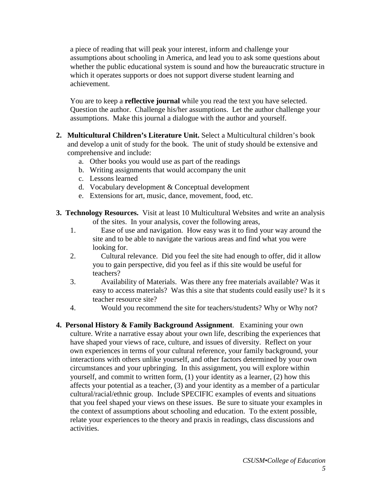a piece of reading that will peak your interest, inform and challenge your assumptions about schooling in America, and lead you to ask some questions about whether the public educational system is sound and how the bureaucratic structure in which it operates supports or does not support diverse student learning and achievement.

You are to keep a **reflective journal** while you read the text you have selected. Question the author. Challenge his/her assumptions. Let the author challenge your assumptions. Make this journal a dialogue with the author and yourself.

- **2. Multicultural Children's Literature Unit.** Select a Multicultural children's book and develop a unit of study for the book. The unit of study should be extensive and comprehensive and include:
	- a. Other books you would use as part of the readings
	- b. Writing assignments that would accompany the unit
	- c. Lessons learned
	- d. Vocabulary development & Conceptual development
	- e. Extensions for art, music, dance, movement, food, etc.
- **3. Technology Resources.** Visit at least 10 Multicultural Websites and write an analysis of the sites. In your analysis, cover the following areas,
	- 1. Ease of use and navigation. How easy was it to find your way around the site and to be able to navigate the various areas and find what you were looking for.
	- 2. Cultural relevance. Did you feel the site had enough to offer, did it allow you to gain perspective, did you feel as if this site would be useful for teachers?
	- 3. Availability of Materials. Was there any free materials available? Was it easy to access materials? Was this a site that students could easily use? Is it s teacher resource site?
	- 4. Would you recommend the site for teachers/students? Why or Why not?
- **4. Personal History & Family Background Assignment**. Examining your own culture. Write a narrative essay about your own life, describing the experiences that have shaped your views of race, culture, and issues of diversity. Reflect on your own experiences in terms of your cultural reference, your family background, your interactions with others unlike yourself, and other factors determined by your own circumstances and your upbringing. In this assignment, you will explore within yourself, and commit to written form, (1) your identity as a learner, (2) how this affects your potential as a teacher, (3) and your identity as a member of a particular cultural/racial/ethnic group. Include SPECIFIC examples of events and situations that you feel shaped your views on these issues. Be sure to situate your examples in the context of assumptions about schooling and education. To the extent possible, relate your experiences to the theory and praxis in readings, class discussions and activities.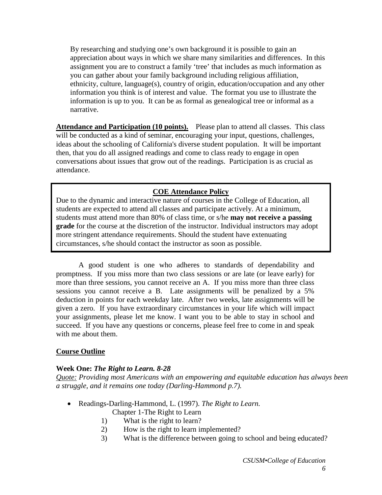By researching and studying one's own background it is possible to gain an appreciation about ways in which we share many similarities and differences. In this assignment you are to construct a family 'tree' that includes as much information as you can gather about your family background including religious affiliation, ethnicity, culture, language(s), country of origin, education/occupation and any other information you think is of interest and value. The format you use to illustrate the information is up to you. It can be as formal as genealogical tree or informal as a narrative.

Attendance and Participation (10 points). Please plan to attend all classes. This class will be conducted as a kind of seminar, encouraging your input, questions, challenges, ideas about the schooling of California's diverse student population. It will be important then, that you do all assigned readings and come to class ready to engage in open conversations about issues that grow out of the readings. Participation is as crucial as attendance.

#### **COE Attendance Policy**

Due to the dynamic and interactive nature of courses in the College of Education, all students are expected to attend all classes and participate actively. At a minimum, students must attend more than 80% of class time, or s/he **may not receive a passing grade** for the course at the discretion of the instructor. Individual instructors may adopt more stringent attendance requirements. Should the student have extenuating circumstances, s/he should contact the instructor as soon as possible.

A good student is one who adheres to standards of dependability and promptness. If you miss more than two class sessions or are late (or leave early) for more than three sessions, you cannot receive an A. If you miss more than three class sessions you cannot receive a B. Late assignments will be penalized by a 5% deduction in points for each weekday late. After two weeks, late assignments will be given a zero. If you have extraordinary circumstances in your life which will impact your assignments, please let me know. I want you to be able to stay in school and succeed. If you have any questions or concerns, please feel free to come in and speak with me about them.

#### **Course Outline**

#### **Week One:** *The Right to Learn. 8-28*

*Quote: Providing most Americans with an empowering and equitable education has always been a struggle, and it remains one today (Darling-Hammond p.7).*

- Readings**-**Darling-Hammond, L. (1997). *The Right to Learn.*
	- Chapter 1-The Right to Learn
	- 1) What is the right to learn?
	- 2) How is the right to learn implemented?
	- 3) What is the difference between going to school and being educated?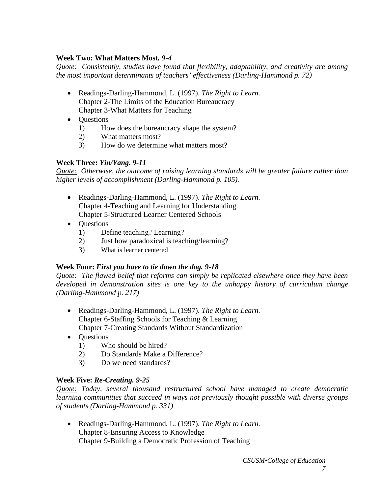#### **Week Two: What Matters Most***. 9-4*

*Quote: Consistently, studies have found that flexibility, adaptability, and creativity are among the most important determinants of teachers' effectiveness (Darling-Hammond p. 72)*

- Readings**-**Darling-Hammond, L. (1997). *The Right to Learn.* Chapter 2-The Limits of the Education Bureaucracy Chapter 3-What Matters for Teaching
- Questions
	- 1) How does the bureaucracy shape the system?
	- 2) What matters most?
	- 3) How do we determine what matters most?

### **Week Three:** *Yin/Yang. 9-11*

*Quote: Otherwise, the outcome of raising learning standards will be greater failure rather than higher levels of accomplishment (Darling-Hammond p. 105).*

- Readings**-**Darling-Hammond, L. (1997). *The Right to Learn.* Chapter 4-Teaching and Learning for Understanding Chapter 5-Structured Learner Centered Schools
- Ouestions
	- 1) Define teaching? Learning?
	- 2) Just how paradoxical is teaching/learning?
	- 3) What is learner centered

# **Week Four:** *First you have to tie down the dog. 9-18*

*Quote: The flawed belief that reforms can simply be replicated elsewhere once they have been developed in demonstration sites is one key to the unhappy history of curriculum change (Darling-Hammond p. 217)*

- Readings**-**Darling-Hammond, L. (1997). *The Right to Learn.* Chapter 6-Staffing Schools for Teaching & Learning Chapter 7-Creating Standards Without Standardization
- Questions
	- 1) Who should be hired?
	- 2) Do Standards Make a Difference?
	- 3) Do we need standards?

# **Week Five:** *Re-Creating. 9-25*

*Quote: Today, several thousand restructured school have managed to create democratic learning communities that succeed in ways not previously thought possible with diverse groups of students (Darling-Hammond p. 331)*

• Readings**-**Darling-Hammond, L. (1997). *The Right to Learn.* Chapter 8-Ensuring Access to Knowledge Chapter 9-Building a Democratic Profession of Teaching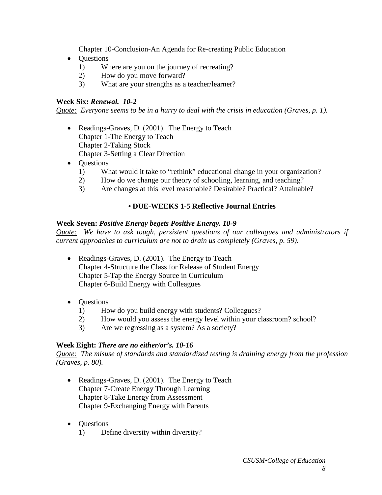Chapter 10-Conclusion-An Agenda for Re-creating Public Education

- Questions
	- 1) Where are you on the journey of recreating?
	- 2) How do you move forward?
	- 3) What are your strengths as a teacher/learner?

#### **Week Six:** *Renewal. 10-2*

*Quote: Everyone seems to be in a hurry to deal with the crisis in education (Graves, p. 1).*

- Readings-Graves, D. (2001). The Energy to Teach Chapter 1-The Energy to Teach Chapter 2-Taking Stock Chapter 3-Setting a Clear Direction
- Questions
	- 1) What would it take to "rethink" educational change in your organization?
	- 2) How do we change our theory of schooling, learning, and teaching?
	- 3) Are changes at this level reasonable? Desirable? Practical? Attainable?

### **• DUE-WEEKS 1-5 Reflective Journal Entries**

#### **Week Seven:** *Positive Energy begets Positive Energy. 10-9*

*Quote: We have to ask tough, persistent questions of our colleagues and administrators if current approaches to curriculum are not to drain us completely (Graves, p. 59).*

- Readings-Graves, D. (2001). The Energy to Teach Chapter 4-Structure the Class for Release of Student Energy Chapter 5-Tap the Energy Source in Curriculum Chapter 6-Build Energy with Colleagues
- **Ouestions** 
	- 1) How do you build energy with students? Colleagues?
	- 2) How would you assess the energy level within your classroom? school?
	- 3) Are we regressing as a system? As a society?

#### **Week Eight:** *There are no either/or's. 10-16*

*Quote: The misuse of standards and standardized testing is draining energy from the profession (Graves, p. 80).*

- Readings-Graves, D. (2001). The Energy to Teach Chapter 7-Create Energy Through Learning Chapter 8-Take Energy from Assessment Chapter 9-Exchanging Energy with Parents
- **Ouestions** 
	- 1) Define diversity within diversity?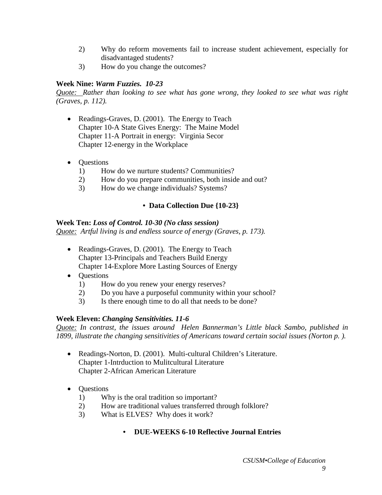- 2) Why do reform movements fail to increase student achievement, especially for disadvantaged students?
- 3) How do you change the outcomes?

# **Week Nine:** *Warm Fuzzies. 10-23*

*Quote: Rather than looking to see what has gone wrong, they looked to see what was right (Graves, p. 112).*

- Readings-Graves, D. (2001). The Energy to Teach Chapter 10-A State Gives Energy: The Maine Model Chapter 11-A Portrait in energy: Virginia Secor Chapter 12-energy in the Workplace
- Ouestions
	- 1) How do we nurture students? Communities?
	- 2) How do you prepare communities, both inside and out?
	- 3) How do we change individuals? Systems?

# **• Data Collection Due {10-23}**

#### **Week Ten:** *Loss of Control. 10-30 (No class session)*

*Quote: Artful living is and endless source of energy (Graves, p. 173).*

- Readings-Graves, D. (2001). The Energy to Teach Chapter 13-Principals and Teachers Build Energy Chapter 14-Explore More Lasting Sources of Energy
- Ouestions
	- 1) How do you renew your energy reserves?
	- 2) Do you have a purposeful community within your school?
	- 3) Is there enough time to do all that needs to be done?

# **Week Eleven:** *Changing Sensitivities. 11-6*

*Quote: In contrast, the issues around Helen Bannerman's Little black Sambo, published in 1899, illustrate the changing sensitivities of Americans toward certain social issues (Norton p. ).*

- Readings-Norton, D. (2001). Multi-cultural Children's Literature. Chapter 1-Intrduction to Mulitcultural Literature Chapter 2-African American Literature
- Questions
	- 1) Why is the oral tradition so important?
	- 2) How are traditional values transferred through folklore?
	- 3) What is ELVES? Why does it work?

# **• DUE-WEEKS 6-10 Reflective Journal Entries**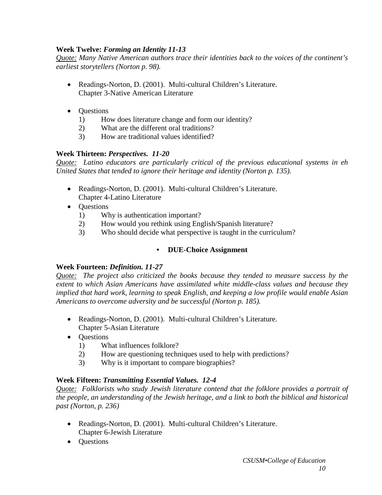#### **Week Twelve:** *Forming an Identity 11-13*

*Quote: Many Native American authors trace their identities back to the voices of the continent's earliest storytellers (Norton p. 98).*

- Readings-Norton, D. (2001). Multi-cultural Children's Literature. Chapter 3-Native American Literature
- **Ouestions** 
	- 1) How does literature change and form our identity?
	- 2) What are the different oral traditions?
	- 3) How are traditional values identified?

### **Week Thirteen:** *Perspectives. 11-20*

*Quote: Latino educators are particularly critical of the previous educational systems in eh United States that tended to ignore their heritage and identity (Norton p. 135).*

- Readings-Norton, D. (2001). Multi-cultural Children's Literature. Chapter 4-Latino Literature
- Questions
	- 1) Why is authentication important?
	- 2) How would you rethink using English/Spanish literature?
	- 3) Who should decide what perspective is taught in the curriculum?

### **• DUE-Choice Assignment**

#### **Week Fourteen:** *Definition. 11-27*

*Quote: The project also criticized the books because they tended to measure success by the extent to which Asian Americans have assimilated white middle-class values and because they implied that hard work, learning to speak English, and keeping a low profile would enable Asian Americans to overcome adversity and be successful (Norton p. 185).*

- Readings-Norton, D. (2001). Multi-cultural Children's Literature. Chapter 5-Asian Literature
- Questions
	- 1) What influences folklore?
	- 2) How are questioning techniques used to help with predictions?
	- 3) Why is it important to compare biographies?

# **Week Fifteen:** *Transmitting Essential Values. 12-4*

*Quote: Folklorists who study Jewish literature contend that the folklore provides a portrait of the people, an understanding of the Jewish heritage, and a link to both the biblical and historical past (Norton, p. 236)*

- Readings-Norton, D. (2001). Multi-cultural Children's Literature. Chapter 6-Jewish Literature
- Questions